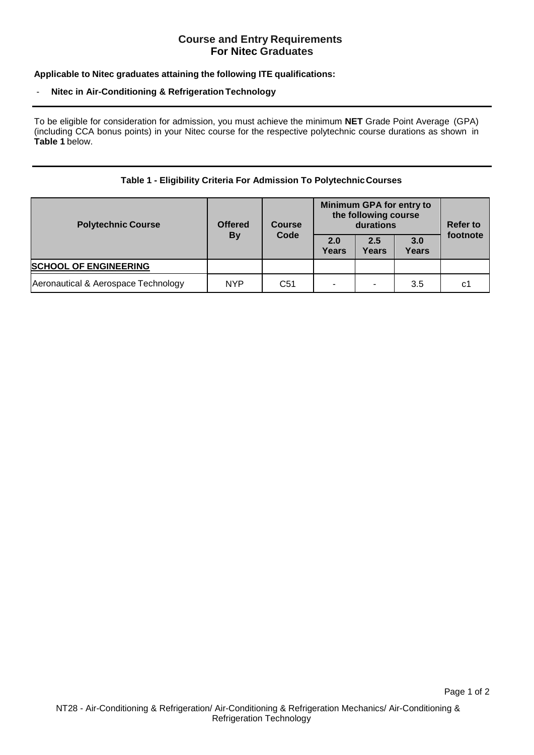# **Course and Entry Requirements For Nitec Graduates**

### **Applicable to Nitec graduates attaining the following ITE qualifications:**

#### - **Nitec in Air-Conditioning & Refrigeration Technology**

To be eligible for consideration for admission, you must achieve the minimum **NET** Grade Point Average (GPA) (including CCA bonus points) in your Nitec course for the respective polytechnic course durations as shown in **Table 1** below.

### **Table 1 - Eligibility Criteria For Admission To PolytechnicCourses**

| <b>Polytechnic Course</b>           | <b>Offered</b><br><b>By</b> | <b>Course</b><br>Code | Minimum GPA for entry to<br>the following course<br>durations |              |              | <b>Refer to</b> |
|-------------------------------------|-----------------------------|-----------------------|---------------------------------------------------------------|--------------|--------------|-----------------|
|                                     |                             |                       | 2.0<br>Years                                                  | 2.5<br>Years | 3.0<br>Years | footnote        |
| <b>SCHOOL OF ENGINEERING</b>        |                             |                       |                                                               |              |              |                 |
| Aeronautical & Aerospace Technology | <b>NYP</b>                  | C <sub>51</sub>       | -                                                             |              | 3.5          | C1              |